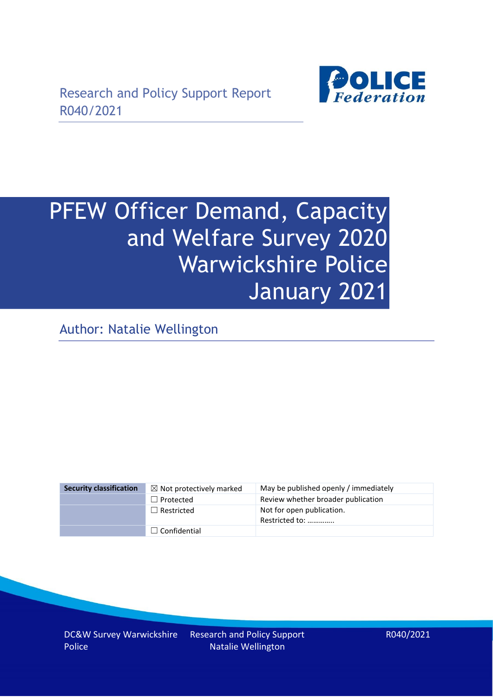

# PFEW Officer Demand, Capacity and Welfare Survey 2020 Warwickshire Police January 2021

Author: Natalie Wellington

| <b>Security classification</b> | $\boxtimes$ Not protectively marked | May be published openly / immediately       |
|--------------------------------|-------------------------------------|---------------------------------------------|
|                                | $\Box$ Protected                    | Review whether broader publication          |
|                                | $\Box$ Restricted                   | Not for open publication.<br>Restricted to: |
|                                | $\Box$ Confidential                 |                                             |

DC&W Survey Warwickshire Police

Research and Policy Support Natalie Wellington

R040/2021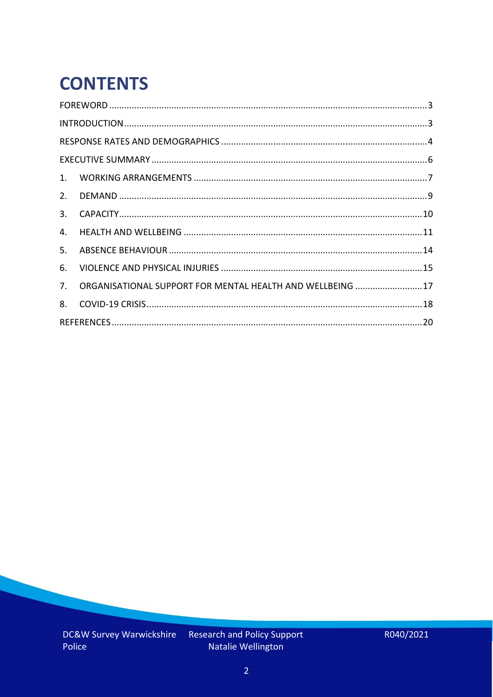# **CONTENTS**

| 4.          |                                                            |  |
|-------------|------------------------------------------------------------|--|
| 5.          |                                                            |  |
| 6.          |                                                            |  |
| $7_{\cdot}$ | ORGANISATIONAL SUPPORT FOR MENTAL HEALTH AND WELLBEING  17 |  |
| 8.          |                                                            |  |
|             |                                                            |  |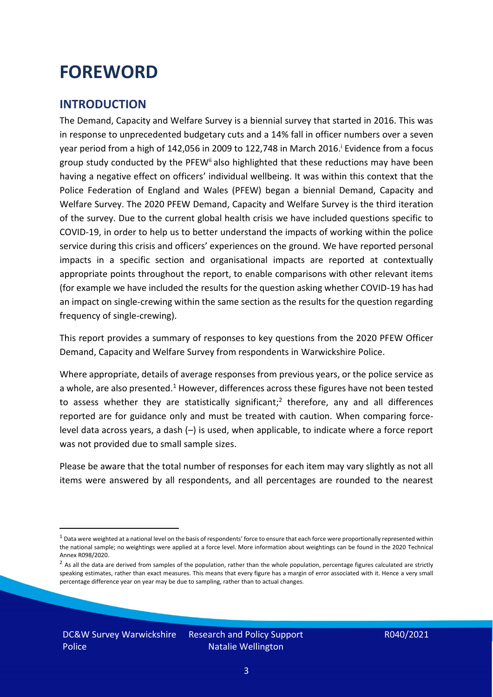### <span id="page-2-0"></span>**FOREWORD**

### <span id="page-2-1"></span>**INTRODUCTION**

The Demand, Capacity and Welfare Survey is a biennial survey that started in 2016. This was in response to unprecedented budgetary cuts and a 14% fall in officer numbers over a seven year period from a high of 142,056 in 2009 to 122,748 in March 2016. <sup>i</sup> Evidence from a focus group study conducted by the PFEW<sup>ii</sup> also highlighted that these reductions may have been having a negative effect on officers' individual wellbeing. It was within this context that the Police Federation of England and Wales (PFEW) began a biennial Demand, Capacity and Welfare Survey. The 2020 PFEW Demand, Capacity and Welfare Survey is the third iteration of the survey. Due to the current global health crisis we have included questions specific to COVID-19, in order to help us to better understand the impacts of working within the police service during this crisis and officers' experiences on the ground. We have reported personal impacts in a specific section and organisational impacts are reported at contextually appropriate points throughout the report, to enable comparisons with other relevant items (for example we have included the results for the question asking whether COVID-19 has had an impact on single-crewing within the same section as the results for the question regarding frequency of single-crewing).

This report provides a summary of responses to key questions from the 2020 PFEW Officer Demand, Capacity and Welfare Survey from respondents in Warwickshire Police.

Where appropriate, details of average responses from previous years, or the police service as a whole, are also presented.<sup>1</sup> However, differences across these figures have not been tested to assess whether they are statistically significant;<sup>2</sup> therefore, any and all differences reported are for guidance only and must be treated with caution. When comparing forcelevel data across years, a dash (–) is used, when applicable, to indicate where a force report was not provided due to small sample sizes.

Please be aware that the total number of responses for each item may vary slightly as not all items were answered by all respondents, and all percentages are rounded to the nearest

 $1$  Data were weighted at a national level on the basis of respondents' force to ensure that each force were proportionally represented within the national sample; no weightings were applied at a force level. More information about weightings can be found in the 2020 Technical Annex R098/2020.

 $2$  As all the data are derived from samples of the population, rather than the whole population, percentage figures calculated are strictly speaking estimates, rather than exact measures. This means that every figure has a margin of error associated with it. Hence a very small percentage difference year on year may be due to sampling, rather than to actual changes.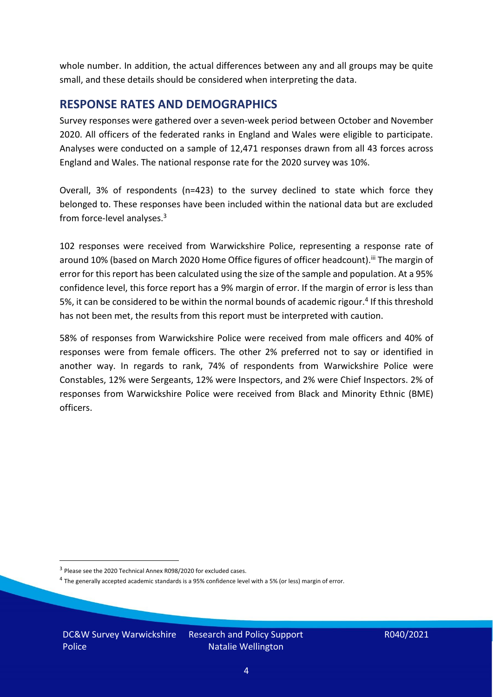whole number. In addition, the actual differences between any and all groups may be quite small, and these details should be considered when interpreting the data.

#### <span id="page-3-0"></span>**RESPONSE RATES AND DEMOGRAPHICS**

Survey responses were gathered over a seven-week period between October and November 2020. All officers of the federated ranks in England and Wales were eligible to participate. Analyses were conducted on a sample of 12,471 responses drawn from all 43 forces across England and Wales. The national response rate for the 2020 survey was 10%.

Overall, 3% of respondents (n=423) to the survey declined to state which force they belonged to. These responses have been included within the national data but are excluded from force-level analyses.<sup>3</sup>

102 responses were received from Warwickshire Police, representing a response rate of around 10% (based on March 2020 Home Office figures of officer headcount).<sup>iii</sup> The margin of error for this report has been calculated using the size of the sample and population. At a 95% confidence level, this force report has a 9% margin of error. If the margin of error is less than 5%, it can be considered to be within the normal bounds of academic rigour.<sup>4</sup> If this threshold has not been met, the results from this report must be interpreted with caution.

58% of responses from Warwickshire Police were received from male officers and 40% of responses were from female officers. The other 2% preferred not to say or identified in another way. In regards to rank, 74% of respondents from Warwickshire Police were Constables, 12% were Sergeants, 12% were Inspectors, and 2% were Chief Inspectors. 2% of responses from Warwickshire Police were received from Black and Minority Ethnic (BME) officers.

DC&W Survey Warwickshire Police

<sup>&</sup>lt;sup>3</sup> Please see the 2020 Technical Annex R098/2020 for excluded cases.

<sup>&</sup>lt;sup>4</sup> The generally accepted academic standards is a 95% confidence level with a 5% (or less) margin of error.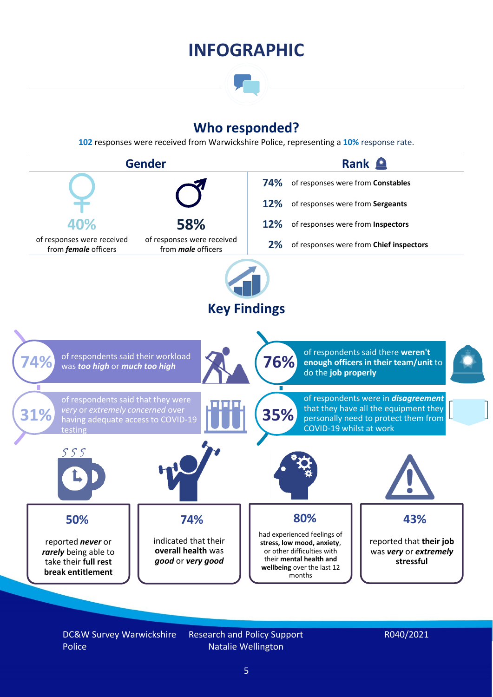### **INFOGRAPHIC**

### **Who responded?**

**102** responses were received from Warwickshire Police, representing a **10%** response rate.



DC&W Survey Warwickshire Police

Research and Policy Support Natalie Wellington

#### R040/2021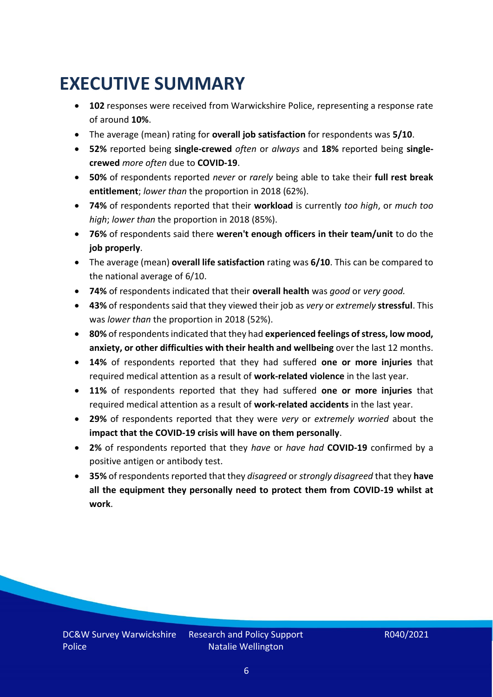### <span id="page-5-0"></span>**EXECUTIVE SUMMARY**

- **102** responses were received from Warwickshire Police, representing a response rate of around **10%**.
- The average (mean) rating for **overall job satisfaction** for respondents was **5/10**.
- **52%** reported being **single-crewed** *often* or *always* and **18%** reported being **singlecrewed** *more often* due to **COVID-19**.
- **50%** of respondents reported *never* or *rarely* being able to take their **full rest break entitlement**; *lower than* the proportion in 2018 (62%).
- **74%** of respondents reported that their **workload** is currently *too high*, or *much too high*; *lower than* the proportion in 2018 (85%).
- **76%** of respondents said there **weren't enough officers in their team/unit** to do the **job properly**.
- The average (mean) **overall life satisfaction** rating was **6/10**. This can be compared to the national average of 6/10.
- **74%** of respondents indicated that their **overall health** was *good* or *very good.*
- **43%** of respondents said that they viewed their job as *very* or *extremely* **stressful**. This was *lower than* the proportion in 2018 (52%).
- **80%** of respondents indicated that they had **experienced feelings of stress, low mood, anxiety, or other difficulties with their health and wellbeing** over the last 12 months.
- **14%** of respondents reported that they had suffered **one or more injuries** that required medical attention as a result of **work-related violence** in the last year.
- **11%** of respondents reported that they had suffered **one or more injuries** that required medical attention as a result of **work-related accidents** in the last year.
- **29%** of respondents reported that they were *very* or *extremely worried* about the **impact that the COVID-19 crisis will have on them personally**.
- **2%** of respondents reported that they *have* or *have had* **COVID-19** confirmed by a positive antigen or antibody test.
- **35%** of respondents reported that they *disagreed* or *strongly disagreed* that they **have all the equipment they personally need to protect them from COVID-19 whilst at work**.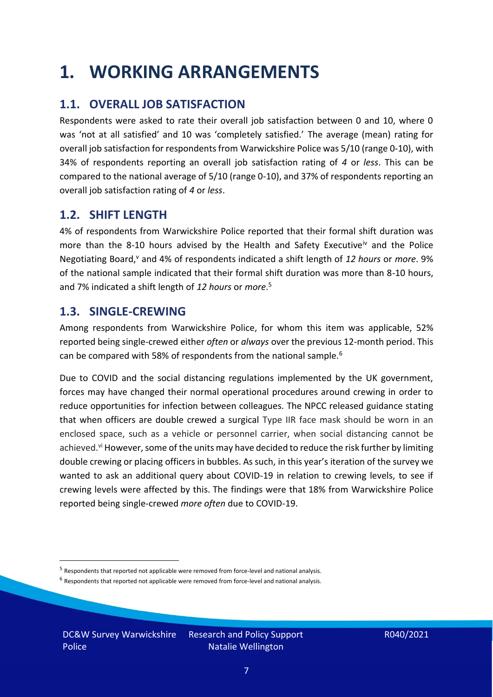### <span id="page-6-0"></span>**1. WORKING ARRANGEMENTS**

### **1.1. OVERALL JOB SATISFACTION**

Respondents were asked to rate their overall job satisfaction between 0 and 10, where 0 was 'not at all satisfied' and 10 was 'completely satisfied.' The average (mean) rating for overall job satisfaction for respondents from Warwickshire Police was 5/10 (range 0-10), with 34% of respondents reporting an overall job satisfaction rating of *4* or *less*. This can be compared to the national average of 5/10 (range 0-10), and 37% of respondents reporting an overall job satisfaction rating of *4* or *less*.

#### **1.2. SHIFT LENGTH**

4% of respondents from Warwickshire Police reported that their formal shift duration was more than the 8-10 hours advised by the Health and Safety Executive<sup>iv</sup> and the Police Negotiating Board,<sup>v</sup> and 4% of respondents indicated a shift length of 12 hours or *more*. 9% of the national sample indicated that their formal shift duration was more than 8-10 hours, and 7% indicated a shift length of *12 hours* or *more*. 5

#### **1.3. SINGLE-CREWING**

Among respondents from Warwickshire Police, for whom this item was applicable, 52% reported being single-crewed either *often* or *always* over the previous 12-month period. This can be compared with 58% of respondents from the national sample.<sup>6</sup>

Due to COVID and the social distancing regulations implemented by the UK government, forces may have changed their normal operational procedures around crewing in order to reduce opportunities for infection between colleagues. The NPCC released guidance stating that when officers are double crewed a surgical Type IIR face mask should be worn in an enclosed space, such as a vehicle or personnel carrier, when social distancing cannot be achieved.<sup>vi</sup> However, some of the units may have decided to reduce the risk further by limiting double crewing or placing officers in bubbles. As such, in this year's iteration of the survey we wanted to ask an additional query about COVID-19 in relation to crewing levels, to see if crewing levels were affected by this. The findings were that 18% from Warwickshire Police reported being single-crewed *more often* due to COVID-19.

DC&W Survey Warwickshire Police

<sup>&</sup>lt;sup>5</sup> Respondents that reported not applicable were removed from force-level and national analysis.

 $<sup>6</sup>$  Respondents that reported not applicable were removed from force-level and national analysis.</sup>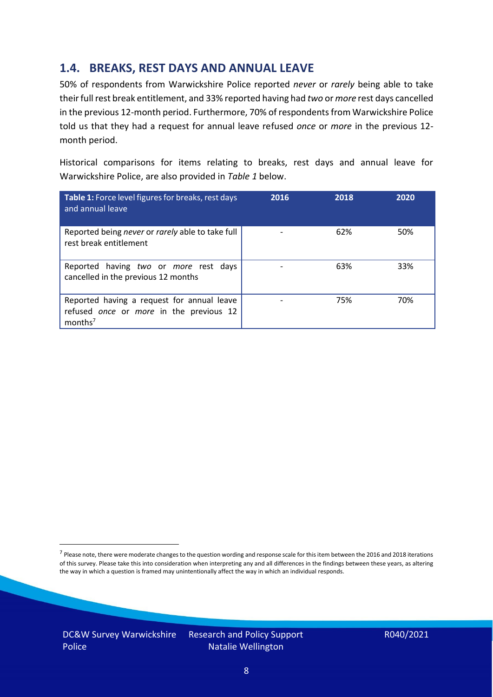### **1.4. BREAKS, REST DAYS AND ANNUAL LEAVE**

50% of respondents from Warwickshire Police reported *never* or *rarely* being able to take their full rest break entitlement, and 33% reported having had *two* or *more* rest days cancelled in the previous 12-month period. Furthermore, 70% of respondents from Warwickshire Police told us that they had a request for annual leave refused *once* or *more* in the previous 12 month period.

Historical comparisons for items relating to breaks, rest days and annual leave for Warwickshire Police, are also provided in *Table 1* below.

| Table 1: Force level figures for breaks, rest days<br>and annual leave                                       | 2016 | 2018 | 2020 |
|--------------------------------------------------------------------------------------------------------------|------|------|------|
| Reported being never or rarely able to take full<br>rest break entitlement                                   |      | 62%  | 50%  |
| Reported having two or more rest days<br>cancelled in the previous 12 months                                 |      | 63%  | 33%  |
| Reported having a request for annual leave<br>refused once or more in the previous 12<br>months <sup>7</sup> |      | 75%  | 70%  |

DC&W Survey Warwickshire Police

<sup>&</sup>lt;sup>7</sup> Please note, there were moderate changes to the question wording and response scale for this item between the 2016 and 2018 iterations of this survey. Please take this into consideration when interpreting any and all differences in the findings between these years, as altering the way in which a question is framed may unintentionally affect the way in which an individual responds.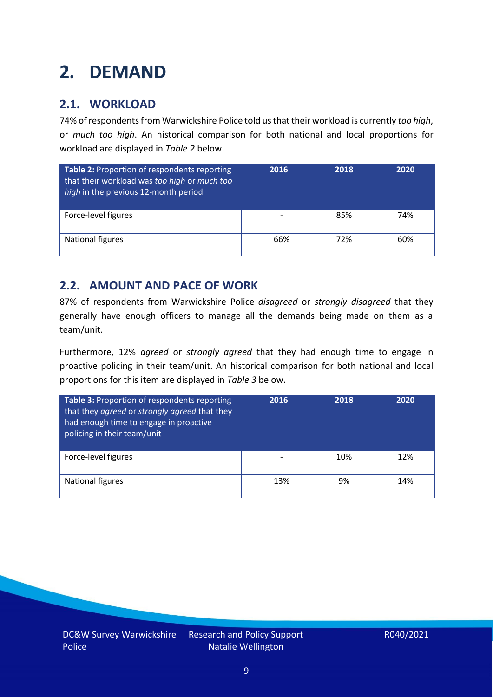## <span id="page-8-0"></span>**2. DEMAND**

### **2.1. WORKLOAD**

74% of respondents from Warwickshire Police told us that their workload is currently *too high*, or *much too high*. An historical comparison for both national and local proportions for workload are displayed in *Table 2* below.

| Table 2: Proportion of respondents reporting<br>that their workload was too high or much too<br>high in the previous 12-month period | 2016 | 2018 | 2020 |
|--------------------------------------------------------------------------------------------------------------------------------------|------|------|------|
| Force-level figures                                                                                                                  |      | 85%  | 74%  |
| National figures                                                                                                                     | 66%  | 72%  | 60%  |

### **2.2. AMOUNT AND PACE OF WORK**

87% of respondents from Warwickshire Police *disagreed* or *strongly disagreed* that they generally have enough officers to manage all the demands being made on them as a team/unit.

Furthermore, 12% *agreed* or *strongly agreed* that they had enough time to engage in proactive policing in their team/unit. An historical comparison for both national and local proportions for this item are displayed in *Table 3* below.

| Table 3: Proportion of respondents reporting<br>that they agreed or strongly agreed that they<br>had enough time to engage in proactive<br>policing in their team/unit | 2016 | 2018 | 2020 |
|------------------------------------------------------------------------------------------------------------------------------------------------------------------------|------|------|------|
| Force-level figures                                                                                                                                                    |      | 10%  | 12%  |
| National figures                                                                                                                                                       | 13%  | 9%   | 14%  |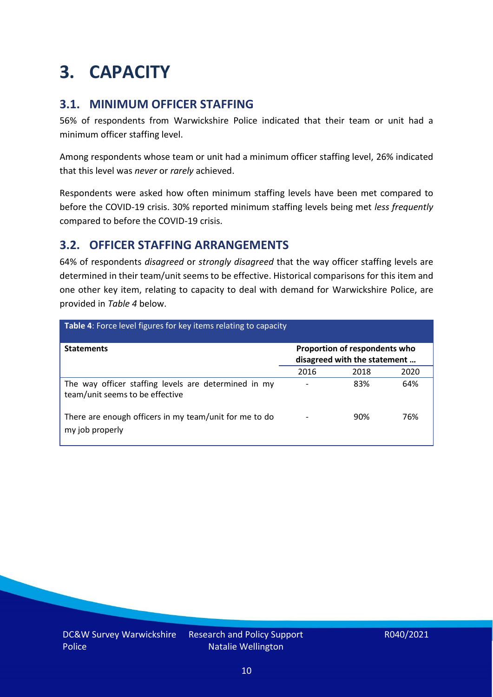### <span id="page-9-0"></span>**3. CAPACITY**

### **3.1. MINIMUM OFFICER STAFFING**

56% of respondents from Warwickshire Police indicated that their team or unit had a minimum officer staffing level.

Among respondents whose team or unit had a minimum officer staffing level, 26% indicated that this level was *never* or *rarely* achieved.

Respondents were asked how often minimum staffing levels have been met compared to before the COVID-19 crisis. 30% reported minimum staffing levels being met *less frequently* compared to before the COVID-19 crisis.

### **3.2. OFFICER STAFFING ARRANGEMENTS**

64% of respondents *disagreed* or *strongly disagreed* that the way officer staffing levels are determined in their team/unit seems to be effective. Historical comparisons for this item and one other key item, relating to capacity to deal with demand for Warwickshire Police, are provided in *Table 4* below.

| <b>Table 4:</b> Force level figures for key items relating to capacity                  |      |                                                               |      |  |
|-----------------------------------------------------------------------------------------|------|---------------------------------------------------------------|------|--|
| <b>Statements</b>                                                                       |      | Proportion of respondents who<br>disagreed with the statement |      |  |
|                                                                                         | 2016 | 2018                                                          | 2020 |  |
| The way officer staffing levels are determined in my<br>team/unit seems to be effective |      | 83%                                                           | 64%  |  |
| There are enough officers in my team/unit for me to do<br>my job properly               |      | 90%                                                           | 76%  |  |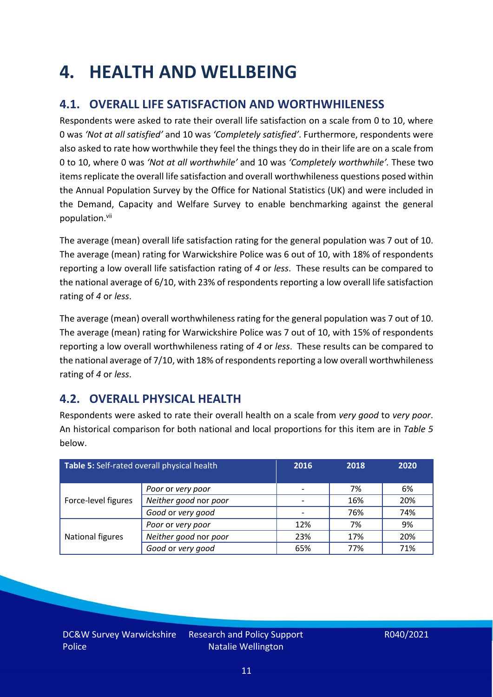### <span id="page-10-0"></span>**4. HEALTH AND WELLBEING**

### **4.1. OVERALL LIFE SATISFACTION AND WORTHWHILENESS**

Respondents were asked to rate their overall life satisfaction on a scale from 0 to 10, where 0 was *'Not at all satisfied'* and 10 was *'Completely satisfied'*. Furthermore, respondents were also asked to rate how worthwhile they feel the things they do in their life are on a scale from 0 to 10, where 0 was *'Not at all worthwhile'* and 10 was *'Completely worthwhile'.* These two items replicate the overall life satisfaction and overall worthwhileness questions posed within the Annual Population Survey by the Office for National Statistics (UK) and were included in the Demand, Capacity and Welfare Survey to enable benchmarking against the general population. vii

The average (mean) overall life satisfaction rating for the general population was 7 out of 10. The average (mean) rating for Warwickshire Police was 6 out of 10, with 18% of respondents reporting a low overall life satisfaction rating of *4* or *less*. These results can be compared to the national average of 6/10, with 23% of respondents reporting a low overall life satisfaction rating of *4* or *less*.

The average (mean) overall worthwhileness rating for the general population was 7 out of 10. The average (mean) rating for Warwickshire Police was 7 out of 10, with 15% of respondents reporting a low overall worthwhileness rating of *4* or *less*. These results can be compared to the national average of 7/10, with 18% of respondents reporting a low overall worthwhileness rating of *4* or *less*.

### **4.2. OVERALL PHYSICAL HEALTH**

Respondents were asked to rate their overall health on a scale from *very good* to *very poor*. An historical comparison for both national and local proportions for this item are in *Table 5* below.

| Table 5: Self-rated overall physical health |                       | 2016 | 2018 | 2020 |
|---------------------------------------------|-----------------------|------|------|------|
|                                             | Poor or very poor     |      | 7%   | 6%   |
| Force-level figures                         | Neither good nor poor |      | 16%  | 20%  |
|                                             | Good or very good     |      | 76%  | 74%  |
|                                             | Poor or very poor     | 12%  | 7%   | 9%   |
| National figures                            | Neither good nor poor | 23%  | 17%  | 20%  |
|                                             | Good or very good     | 65%  | 77%  | 71%  |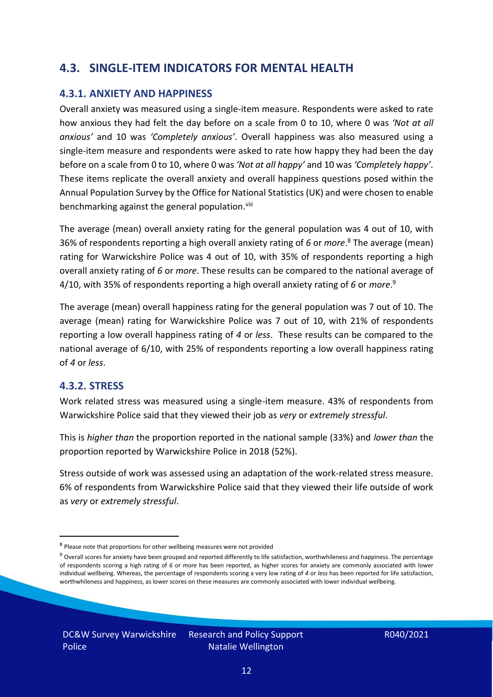### **4.3. SINGLE-ITEM INDICATORS FOR MENTAL HEALTH**

#### **4.3.1. ANXIETY AND HAPPINESS**

Overall anxiety was measured using a single-item measure. Respondents were asked to rate how anxious they had felt the day before on a scale from 0 to 10, where 0 was *'Not at all anxious'* and 10 was *'Completely anxious'*. Overall happiness was also measured using a single-item measure and respondents were asked to rate how happy they had been the day before on a scale from 0 to 10, where 0 was *'Not at all happy'* and 10 was *'Completely happy'*. These items replicate the overall anxiety and overall happiness questions posed within the Annual Population Survey by the Office for National Statistics (UK) and were chosen to enable benchmarking against the general population.<sup>viii</sup>

The average (mean) overall anxiety rating for the general population was 4 out of 10, with 36% of respondents reporting a high overall anxiety rating of *6* or *more*. <sup>8</sup> The average (mean) rating for Warwickshire Police was 4 out of 10, with 35% of respondents reporting a high overall anxiety rating of *6* or *more*. These results can be compared to the national average of 4/10, with 35% of respondents reporting a high overall anxiety rating of *6* or *more*. 9

The average (mean) overall happiness rating for the general population was 7 out of 10. The average (mean) rating for Warwickshire Police was 7 out of 10, with 21% of respondents reporting a low overall happiness rating of *4* or *less*. These results can be compared to the national average of 6/10, with 25% of respondents reporting a low overall happiness rating of *4* or *less*.

#### **4.3.2. STRESS**

Work related stress was measured using a single-item measure. 43% of respondents from Warwickshire Police said that they viewed their job as *very* or *extremely stressful*.

This is *higher than* the proportion reported in the national sample (33%) and *lower than* the proportion reported by Warwickshire Police in 2018 (52%).

Stress outside of work was assessed using an adaptation of the work-related stress measure. 6% of respondents from Warwickshire Police said that they viewed their life outside of work as *very* or *extremely stressful*.

<sup>&</sup>lt;sup>8</sup> Please note that proportions for other wellbeing measures were not provided

 $9$  Overall scores for anxiety have been grouped and reported differently to life satisfaction, worthwhileness and happiness. The percentage of respondents scoring a high rating of *6* or *more* has been reported, as higher scores for anxiety are commonly associated with lower individual wellbeing. Whereas, the percentage of respondents scoring a very low rating of *4* or *less* has been reported for life satisfaction, worthwhileness and happiness, as lower scores on these measures are commonly associated with lower individual wellbeing.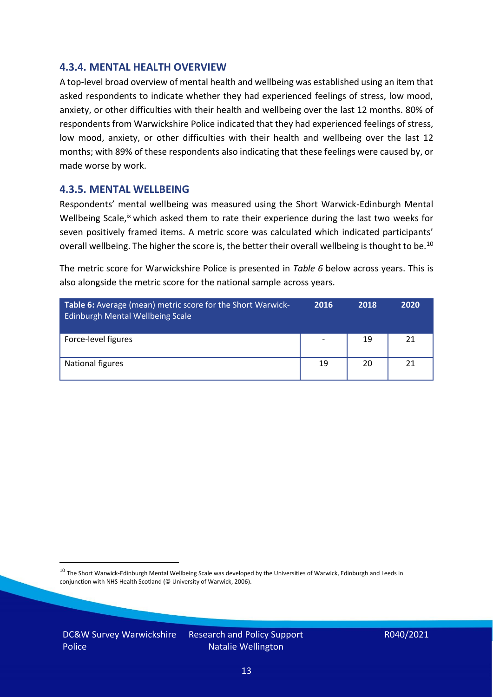#### **4.3.4. MENTAL HEALTH OVERVIEW**

A top-level broad overview of mental health and wellbeing was established using an item that asked respondents to indicate whether they had experienced feelings of stress, low mood, anxiety, or other difficulties with their health and wellbeing over the last 12 months. 80% of respondents from Warwickshire Police indicated that they had experienced feelings of stress, low mood, anxiety, or other difficulties with their health and wellbeing over the last 12 months; with 89% of these respondents also indicating that these feelings were caused by, or made worse by work.

#### **4.3.5. MENTAL WELLBEING**

Respondents' mental wellbeing was measured using the Short Warwick-Edinburgh Mental Wellbeing Scale,<sup>ix</sup> which asked them to rate their experience during the last two weeks for seven positively framed items. A metric score was calculated which indicated participants' overall wellbeing. The higher the score is, the better their overall wellbeing is thought to be.<sup>10</sup>

The metric score for Warwickshire Police is presented in *Table 6* below across years. This is also alongside the metric score for the national sample across years.

| <b>Table 6:</b> Average (mean) metric score for the Short Warwick-<br>Edinburgh Mental Wellbeing Scale | 2016 | 2018 | 2020 |
|--------------------------------------------------------------------------------------------------------|------|------|------|
| Force-level figures                                                                                    |      | 19   | 21   |
| National figures                                                                                       | 19   | 20   | 21   |

 $10$  The Short Warwick-Edinburgh Mental Wellbeing Scale was developed by the Universities of Warwick, Edinburgh and Leeds in conjunction with NHS Health Scotland (© University of Warwick, 2006).

DC&W Survey Warwickshire Police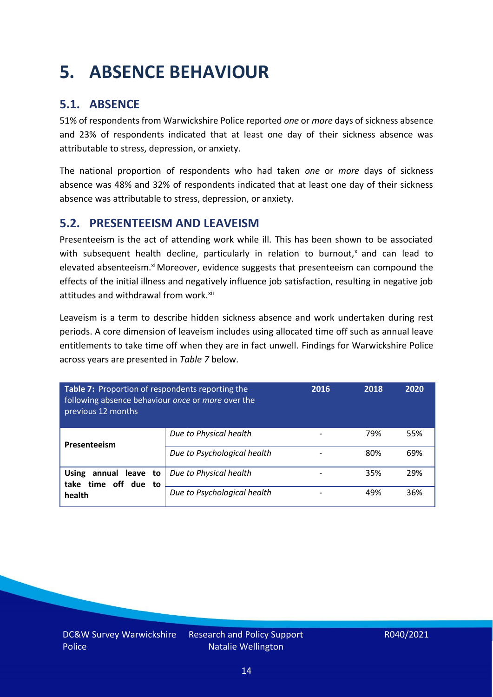## <span id="page-13-0"></span>**5. ABSENCE BEHAVIOUR**

### **5.1. ABSENCE**

51% of respondents from Warwickshire Police reported *one* or *more* days of sickness absence and 23% of respondents indicated that at least one day of their sickness absence was attributable to stress, depression, or anxiety.

The national proportion of respondents who had taken *one* or *more* days of sickness absence was 48% and 32% of respondents indicated that at least one day of their sickness absence was attributable to stress, depression, or anxiety.

#### **5.2. PRESENTEEISM AND LEAVEISM**

Presenteeism is the act of attending work while ill. This has been shown to be associated with subsequent health decline, particularly in relation to burnout, $x$  and can lead to elevated absenteeism.<sup>xi</sup> Moreover, evidence suggests that presenteeism can compound the effects of the initial illness and negatively influence job satisfaction, resulting in negative job attitudes and withdrawal from work.<sup>xii</sup>

Leaveism is a term to describe hidden sickness absence and work undertaken during rest periods. A core dimension of leaveism includes using allocated time off such as annual leave entitlements to take time off when they are in fact unwell. Findings for Warwickshire Police across years are presented in *Table 7* below.

| Table 7: Proportion of respondents reporting the<br>following absence behaviour once or more over the<br>previous 12 months |                             | 2016 | 2018 | 2020 |
|-----------------------------------------------------------------------------------------------------------------------------|-----------------------------|------|------|------|
| Presenteeism                                                                                                                | Due to Physical health      |      | 79%  | 55%  |
|                                                                                                                             | Due to Psychological health |      | 80%  | 69%  |
| annual leave to<br><b>Using</b><br>take time off due to                                                                     | Due to Physical health      |      | 35%  | 29%  |
| health                                                                                                                      | Due to Psychological health |      | 49%  | 36%  |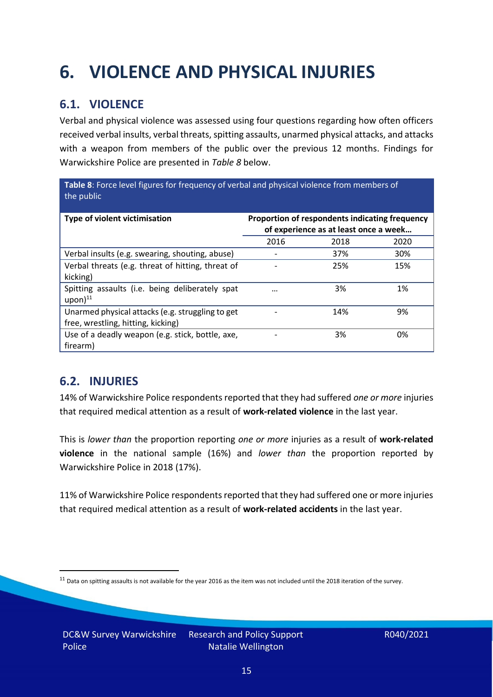## <span id="page-14-0"></span>**6. VIOLENCE AND PHYSICAL INJURIES**

### **6.1. VIOLENCE**

Verbal and physical violence was assessed using four questions regarding how often officers received verbal insults, verbal threats, spitting assaults, unarmed physical attacks, and attacks with a weapon from members of the public over the previous 12 months. Findings for Warwickshire Police are presented in *Table 8* below.

**Table 8**: Force level figures for frequency of verbal and physical violence from members of the public

| Type of violent victimisation                                                          | Proportion of respondents indicating frequency<br>of experience as at least once a week |      |      |
|----------------------------------------------------------------------------------------|-----------------------------------------------------------------------------------------|------|------|
|                                                                                        | 2016                                                                                    | 2018 | 2020 |
| Verbal insults (e.g. swearing, shouting, abuse)                                        |                                                                                         | 37%  | 30%  |
| Verbal threats (e.g. threat of hitting, threat of<br>kicking)                          |                                                                                         | 25%  | 15%  |
| Spitting assaults (i.e. being deliberately spat<br>$upon)$ <sup>11</sup>               | $\cdots$                                                                                | 3%   | 1%   |
| Unarmed physical attacks (e.g. struggling to get<br>free, wrestling, hitting, kicking) |                                                                                         | 14%  | 9%   |
| Use of a deadly weapon (e.g. stick, bottle, axe,<br>firearm)                           |                                                                                         | 3%   | 0%   |

### **6.2. INJURIES**

14% of Warwickshire Police respondents reported that they had suffered *one or more* injuries that required medical attention as a result of **work-related violence** in the last year.

This is *lower than* the proportion reporting *one or more* injuries as a result of **work-related violence** in the national sample (16%) and *lower than* the proportion reported by Warwickshire Police in 2018 (17%).

11% of Warwickshire Police respondents reported that they had suffered one or more injuries that required medical attention as a result of **work-related accidents** in the last year.

 $11$  Data on spitting assaults is not available for the year 2016 as the item was not included until the 2018 iteration of the survey.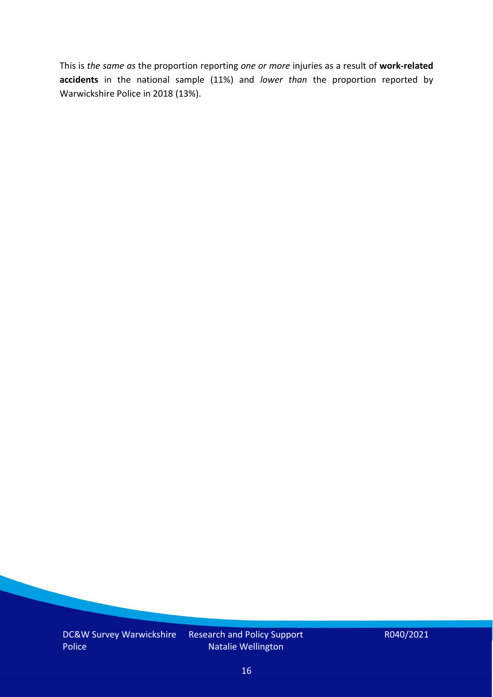This is *the same as* the proportion reporting *one or more* injuries as a result of **work-related accidents** in the national sample (11%) and *lower than* the proportion reported by Warwickshire Police in 2018 (13%).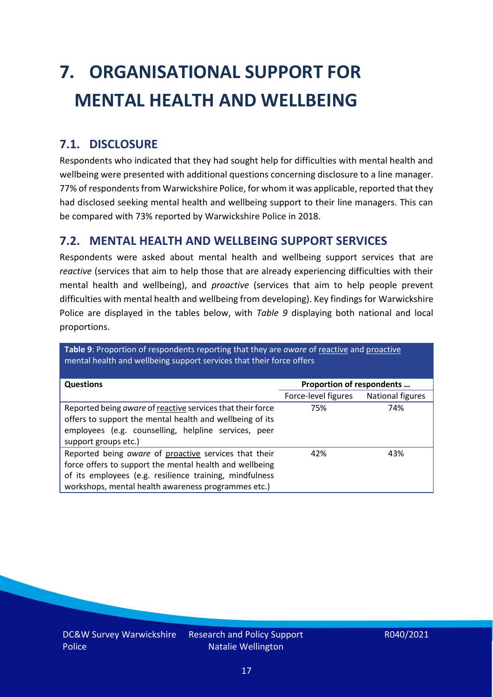# <span id="page-16-0"></span>**7. ORGANISATIONAL SUPPORT FOR MENTAL HEALTH AND WELLBEING**

### **7.1. DISCLOSURE**

Respondents who indicated that they had sought help for difficulties with mental health and wellbeing were presented with additional questions concerning disclosure to a line manager. 77% of respondents from Warwickshire Police, for whom it was applicable, reported that they had disclosed seeking mental health and wellbeing support to their line managers. This can be compared with 73% reported by Warwickshire Police in 2018.

#### **7.2. MENTAL HEALTH AND WELLBEING SUPPORT SERVICES**

Respondents were asked about mental health and wellbeing support services that are *reactive* (services that aim to help those that are already experiencing difficulties with their mental health and wellbeing), and *proactive* (services that aim to help people prevent difficulties with mental health and wellbeing from developing). Key findings for Warwickshire Police are displayed in the tables below, with *Table 9* displaying both national and local proportions.

**Table 9**: Proportion of respondents reporting that they are *aware* of reactive and proactive mental health and wellbeing support services that their force offers

| <b>Questions</b>                                                                                                                                                                                                                   | Proportion of respondents |                  |  |
|------------------------------------------------------------------------------------------------------------------------------------------------------------------------------------------------------------------------------------|---------------------------|------------------|--|
|                                                                                                                                                                                                                                    | Force-level figures       | National figures |  |
| Reported being aware of reactive services that their force<br>offers to support the mental health and wellbeing of its<br>employees (e.g. counselling, helpline services, peer<br>support groups etc.)                             | 75%                       | 74%              |  |
| Reported being aware of proactive services that their<br>force offers to support the mental health and wellbeing<br>of its employees (e.g. resilience training, mindfulness<br>workshops, mental health awareness programmes etc.) | 42%                       | 43%              |  |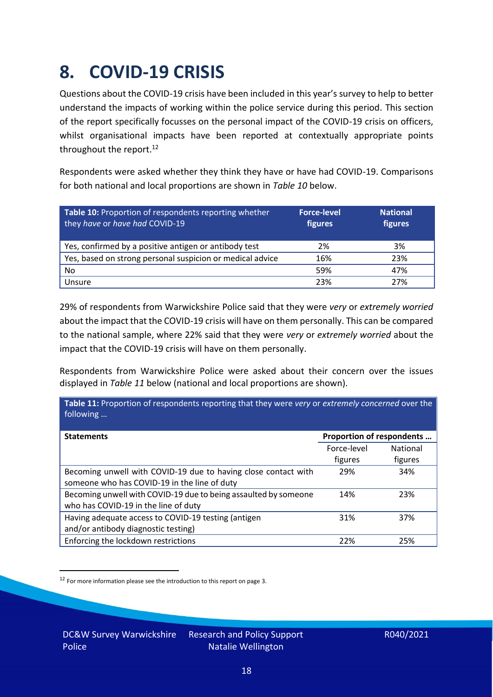### <span id="page-17-0"></span>**8. COVID-19 CRISIS**

Questions about the COVID-19 crisis have been included in this year's survey to help to better understand the impacts of working within the police service during this period. This section of the report specifically focusses on the personal impact of the COVID-19 crisis on officers, whilst organisational impacts have been reported at contextually appropriate points throughout the report.<sup>12</sup>

Respondents were asked whether they think they have or have had COVID-19. Comparisons for both national and local proportions are shown in *Table 10* below.

| Table 10: Proportion of respondents reporting whether<br>they have or have had COVID-19 | <b>Force-level</b><br>figures | <b>National</b><br>figures |
|-----------------------------------------------------------------------------------------|-------------------------------|----------------------------|
| Yes, confirmed by a positive antigen or antibody test                                   | 2%                            | 3%                         |
| Yes, based on strong personal suspicion or medical advice                               | 16%                           | 23%                        |
| No                                                                                      | 59%                           | 47%                        |
| Unsure                                                                                  | 23%                           | 27%                        |

29% of respondents from Warwickshire Police said that they were *very* or *extremely worried* about the impact that the COVID-19 crisis will have on them personally. This can be compared to the national sample, where 22% said that they were *very* or *extremely worried* about the impact that the COVID-19 crisis will have on them personally.

Respondents from Warwickshire Police were asked about their concern over the issues displayed in *Table 11* below (national and local proportions are shown).

| Table 11: Proportion of respondents reporting that they were very or extremely concerned over the<br>following |                           |                 |
|----------------------------------------------------------------------------------------------------------------|---------------------------|-----------------|
| <b>Statements</b>                                                                                              | Proportion of respondents |                 |
|                                                                                                                | Force-level               | <b>National</b> |
|                                                                                                                | figures                   | figures         |
| Becoming unwell with COVID-19 due to having close contact with                                                 | 29%                       | 34%             |
| someone who has COVID-19 in the line of duty                                                                   |                           |                 |
| Becoming unwell with COVID-19 due to being assaulted by someone                                                | 14%                       | 23%             |
| who has COVID-19 in the line of duty                                                                           |                           |                 |
| Having adequate access to COVID-19 testing (antigen                                                            | 31%                       | 37%             |
| and/or antibody diagnostic testing)                                                                            |                           |                 |
| Enforcing the lockdown restrictions                                                                            | 22%                       | 25%             |

<sup>12</sup> For more information please see the introduction to this report on page 3.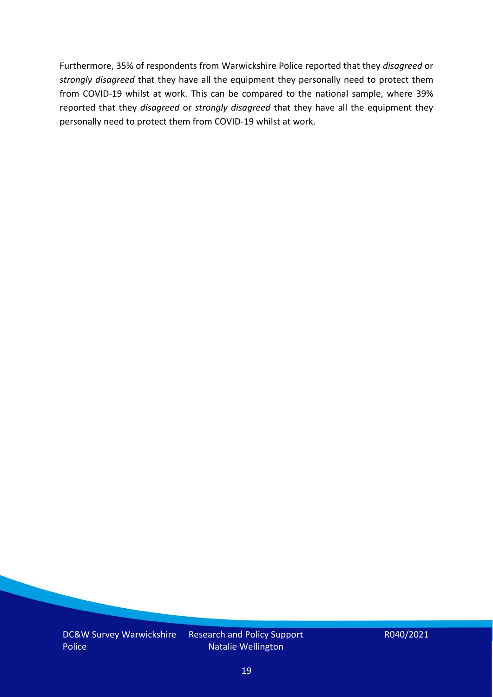Furthermore, 35% of respondents from Warwickshire Police reported that they *disagreed* or *strongly disagreed* that they have all the equipment they personally need to protect them from COVID-19 whilst at work. This can be compared to the national sample, where 39% reported that they *disagreed* or *strongly disagreed* that they have all the equipment they personally need to protect them from COVID-19 whilst at work.

Research and Policy Support Natalie Wellington

R040/2021